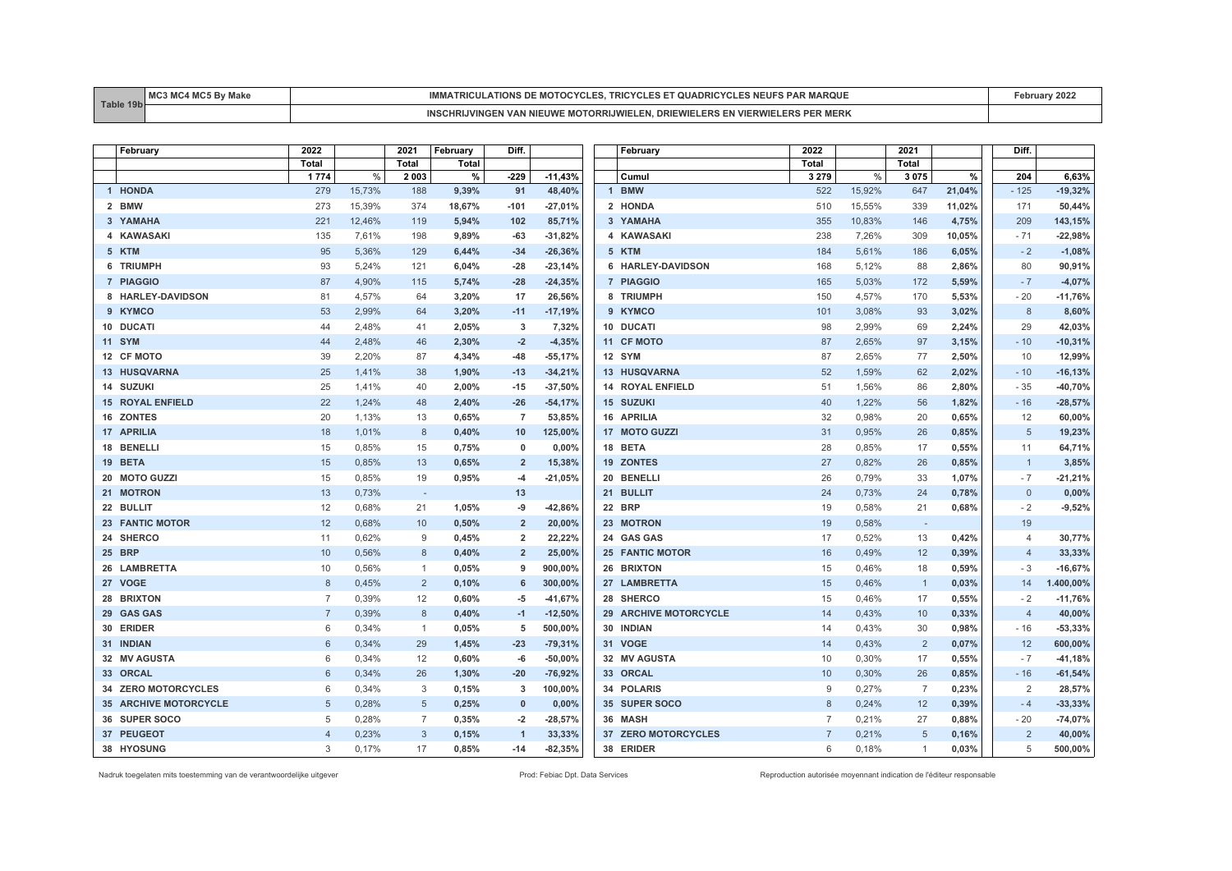| <b>Table</b><br>AA | <b>BAC</b><br>$. A \sim$ | <b>MOTOCYCL</b><br><b>TRICULATIONS DE</b><br><b>AROUL</b><br>SIRIC.<br>JADRIU YULE   |  |
|--------------------|--------------------------|--------------------------------------------------------------------------------------|--|
|                    |                          | " ORRIJWIEL F" ان<br>… WIELERS EN VIFP'<br>ER MERK<br>DRIF<br>™™™KIJVINGEn<br>∙lJVVI |  |

| February                | 2022           |        | 2021           | February | Diff.          |           | February                | 2022           |        | 2021                     |        | Diff.          |           |
|-------------------------|----------------|--------|----------------|----------|----------------|-----------|-------------------------|----------------|--------|--------------------------|--------|----------------|-----------|
|                         | Total          |        | <b>Total</b>   | Total    |                |           |                         | <b>Total</b>   |        | <b>Total</b>             |        |                |           |
|                         | 1 7 7 4        | %      | 2 0 0 3        | %        | $-229$         | $-11,43%$ | Cumul                   | 3 2 7 9        | $\%$   | 3075                     | %      | 204            | 6,63%     |
| 1 HONDA                 | 279            | 15,73% | 188            | 9,39%    | 91             | 48,40%    | 1 BMW                   | 522            | 15,92% | 647                      | 21,04% | $-125$         | $-19,32%$ |
| 2 BMW                   | 273            | 15,39% | 374            | 18,67%   | $-101$         | $-27,01%$ | 2 HONDA                 | 510            | 15,55% | 339                      | 11,02% | 171            | 50,44%    |
| 3 YAMAHA                | 221            | 12,46% | 119            | 5,94%    | 102            | 85,71%    | 3 YAMAHA                | 355            | 10,83% | 146                      | 4,75%  | 209            | 143,15%   |
| 4 KAWASAKI              | 135            | 7,61%  | 198            | 9,89%    | -63            | $-31,82%$ | 4 KAWASAKI              | 238            | 7,26%  | 309                      | 10,05% | $-71$          | $-22,98%$ |
| 5 KTM                   | 95             | 5,36%  | 129            | 6,44%    | $-34$          | $-26,36%$ | 5 KTM                   | 184            | 5,61%  | 186                      | 6,05%  | $-2$           | $-1,08%$  |
| 6 TRIUMPH               | 93             | 5,24%  | 121            | 6,04%    | $-28$          | $-23,14%$ | 6 HARLEY-DAVIDSON       | 168            | 5,12%  | 88                       | 2,86%  | 80             | 90,91%    |
| 7 PIAGGIO               | 87             | 4,90%  | 115            | 5,74%    | $-28$          | $-24,35%$ | 7 PIAGGIO               | 165            | 5,03%  | 172                      | 5.59%  | $-7$           | $-4,07%$  |
| 8 HARLEY-DAVIDSON       | 81             | 4,57%  | 64             | 3,20%    | 17             | 26,56%    | 8 TRIUMPH               | 150            | 4,57%  | 170                      | 5,53%  | $-20$          | $-11,76%$ |
| 9 KYMCO                 | 53             | 2,99%  | 64             | 3,20%    | $-11$          | $-17,19%$ | 9 KYMCO                 | 101            | 3,08%  | 93                       | 3,02%  | 8              | 8,60%     |
| 10 DUCATI               | 44             | 2,48%  | 41             | 2,05%    | 3              | 7,32%     | 10 DUCATI               | 98             | 2,99%  | 69                       | 2,24%  | 29             | 42,03%    |
| <b>11 SYM</b>           | 44             | 2,48%  | 46             | 2,30%    | $-2$           | $-4,35%$  | 11 CF MOTO              | 87             | 2.65%  | 97                       | 3,15%  | $-10$          | $-10,31%$ |
| 12 CF MOTO              | 39             | 2,20%  | 87             | 4,34%    | $-48$          | $-55,17%$ | 12 SYM                  | 87             | 2,65%  | 77                       | 2,50%  | 10             | 12,99%    |
| 13 HUSQVARNA            | 25             | 1,41%  | 38             | 1,90%    | $-13$          | $-34,21%$ | 13 HUSQVARNA            | 52             | 1,59%  | 62                       | 2,02%  | $-10$          | $-16,13%$ |
| 14 SUZUKI               | 25             | 1,41%  | 40             | 2,00%    | $-15$          | $-37,50%$ | <b>14 ROYAL ENFIELD</b> | 51             | 1,56%  | 86                       | 2,80%  | $-35$          | $-40,70%$ |
| <b>15 ROYAL ENFIELD</b> | 22             | 1,24%  | 48             | 2,40%    | $-26$          | $-54,17%$ | <b>15 SUZUKI</b>        | 40             | 1,22%  | 56                       | 1,82%  | $-16$          | $-28,57%$ |
| 16 ZONTES               | 20             | 1,13%  | 13             | 0,65%    | $\overline{7}$ | 53,85%    | <b>16 APRILIA</b>       | 32             | 0,98%  | 20                       | 0,65%  | 12             | 60,00%    |
| 17 APRILIA              | 18             | 1,01%  | 8              | 0,40%    | 10             | 125,00%   | 17 MOTO GUZZI           | 31             | 0,95%  | 26                       | 0,85%  | 5              | 19,23%    |
| 18 BENELLI              | 15             | 0,85%  | 15             | 0,75%    | 0              | 0,00%     | 18 BETA                 | 28             | 0,85%  | 17                       | 0,55%  | 11             | 64,71%    |
| 19 BETA                 | 15             | 0,85%  | 13             | 0,65%    | $\overline{2}$ | 15,38%    | <b>19 ZONTES</b>        | 27             | 0,82%  | 26                       | 0,85%  | $\overline{1}$ | 3,85%     |
| 20 MOTO GUZZI           | 15             | 0,85%  | 19             | 0,95%    | $-4$           | $-21,05%$ | 20 BENELLI              | 26             | 0,79%  | 33                       | 1,07%  | $-7$           | $-21,21%$ |
| 21 MOTRON               | 13             | 0.73%  | $\sim$         |          | 13             |           | 21 BULLIT               | 24             | 0.73%  | 24                       | 0.78%  | $\overline{0}$ | 0,00%     |
| 22 BULLIT               | 12             | 0,68%  | 21             | 1,05%    | -9             | $-42,86%$ | 22 BRP                  | 19             | 0,58%  | 21                       | 0,68%  | $-2$           | $-9,52%$  |
| <b>23 FANTIC MOTOR</b>  | 12             | 0,68%  | 10             | 0,50%    | $\overline{2}$ | 20,00%    | 23 MOTRON               | 19             | 0,58%  | $\overline{\phantom{a}}$ |        | 19             |           |
| 24 SHERCO               | 11             | 0,62%  | 9              | 0,45%    | $\overline{2}$ | 22,22%    | 24 GAS GAS              | 17             | 0,52%  | 13                       | 0,42%  | $\overline{4}$ | 30,77%    |
| <b>25 BRP</b>           | 10             | 0,56%  | 8              | 0,40%    | $\overline{2}$ | 25,00%    | <b>25 FANTIC MOTOR</b>  | 16             | 0,49%  | 12                       | 0,39%  | $\overline{4}$ | 33,33%    |
| 26 LAMBRETTA            | 10             | 0,56%  | $\overline{1}$ | 0,05%    | 9              | 900,00%   | 26 BRIXTON              | 15             | 0,46%  | 18                       | 0,59%  | $-3$           | $-16,67%$ |
| 27 VOGE                 | 8              | 0,45%  | $\overline{2}$ | 0,10%    | 6              | 300,00%   | 27 LAMBRETTA            | 15             | 0,46%  | $\overline{1}$           | 0,03%  | 14             | 1.400,00% |
| 28 BRIXTON              | $\overline{7}$ | 0,39%  | 12             | 0,60%    | -5             | $-41,67%$ | 28 SHERCO               | 15             | 0,46%  | 17                       | 0,55%  | $-2$           | $-11,76%$ |
| 29 GAS GAS              | $\overline{7}$ | 0,39%  | 8              | 0,40%    | $-1$           | $-12,50%$ | 29 ARCHIVE MOTORCYCLE   | 14             | 0,43%  | 10                       | 0,33%  | $\overline{4}$ | 40,00%    |
| 30 ERIDER               | 6              | 0,34%  | $\overline{1}$ | 0,05%    | 5              | 500,00%   | 30 INDIAN               | 14             | 0.43%  | 30                       | 0,98%  | $-16$          | $-53,33%$ |
| 31 INDIAN               | 6              | 0,34%  | 29             | 1,45%    | $-23$          | $-79,31%$ | 31 VOGE                 | 14             | 0,43%  | $\overline{2}$           | 0,07%  | 12             | 600,00%   |
| 32 MV AGUSTA            | 6              | 0,34%  | 12             | 0,60%    | -6             | $-50,00%$ | 32 MV AGUSTA            | 10             | 0,30%  | 17                       | 0,55%  | $-7$           | $-41,18%$ |
| 33 ORCAL                | 6              | 0.34%  | 26             | 1,30%    | $-20$          | $-76,92%$ | 33 ORCAL                | 10             | 0.30%  | 26                       | 0,85%  | $-16$          | $-61,54%$ |
| 34 ZERO MOTORCYCLES     | 6              | 0,34%  | 3              | 0,15%    | 3              | 100,00%   | 34 POLARIS              | 9              | 0,27%  | $\overline{7}$           | 0,23%  | $\overline{2}$ | 28,57%    |
| 35 ARCHIVE MOTORCYCLE   | 5              | 0,28%  | 5              | 0,25%    | $\mathbf{0}$   | 0,00%     | 35 SUPER SOCO           | 8              | 0,24%  | 12                       | 0,39%  | $-4$           | $-33,33%$ |
| 36 SUPER SOCO           | 5              | 0,28%  | $\overline{7}$ | 0,35%    | $-2$           | $-28,57%$ | 36 MASH                 | 7              | 0,21%  | 27                       | 0,88%  | $-20$          | $-74,07%$ |
| 37 PEUGEOT              | $\overline{4}$ | 0,23%  | 3              | 0,15%    | $\overline{1}$ | 33,33%    | 37 ZERO MOTORCYCLES     | $\overline{7}$ | 0,21%  | 5                        | 0,16%  | $\overline{2}$ | 40,00%    |
| 38 HYOSUNG              | 3              | 0,17%  | 17             | 0,85%    | $-14$          | $-82,35%$ | 38 ERIDER               | 6              | 0.18%  | $\overline{1}$           | 0.03%  | 5              | 500,00%   |

Nadruk toegelaten mits toestemming van de verantwoordelijke uitgever entered enter enter enter a metaleur enter autorisée Prod: Febiac Dpt. Data Services Reproduction autorisée moyennant indication de l'éditeur responsable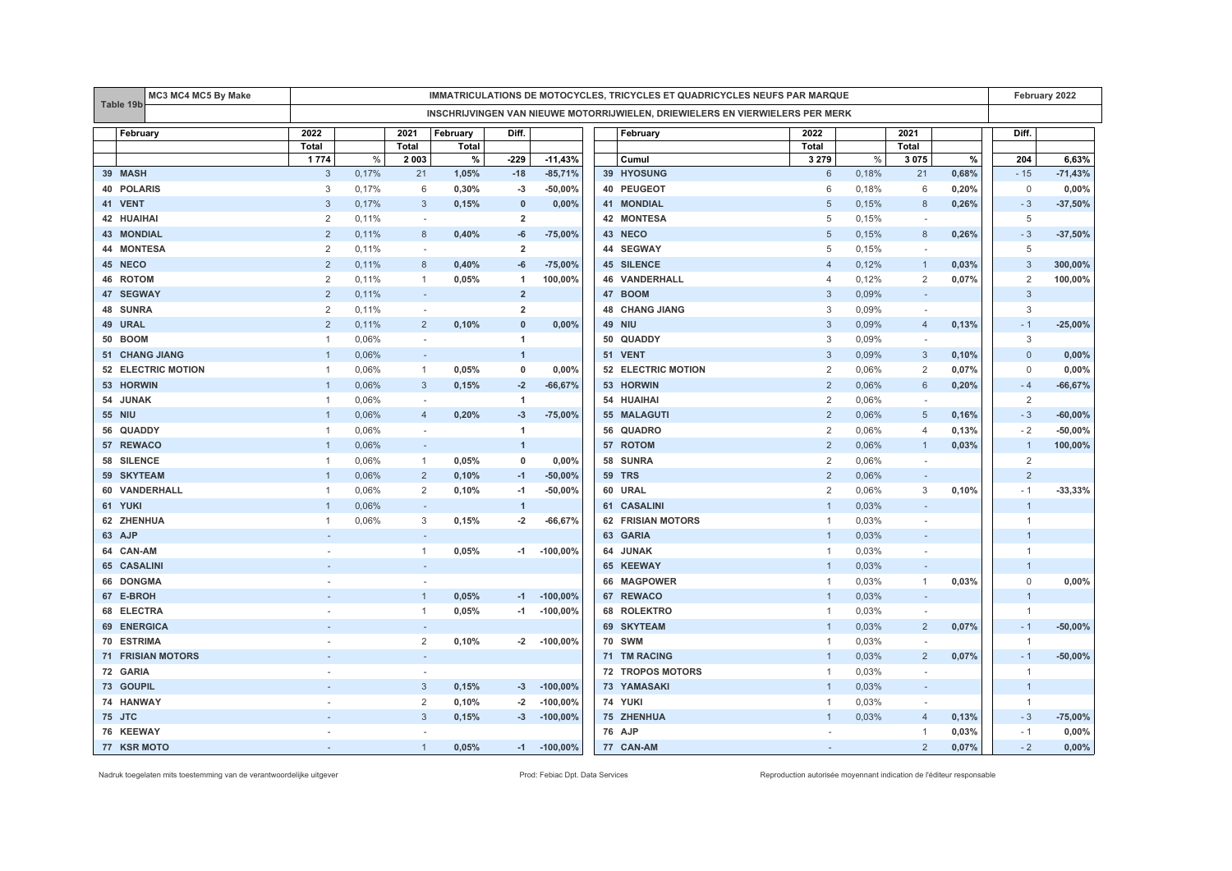|                       | MC3 MC4 MC5 By Make      |                                                                               | IMMATRICULATIONS DE MOTOCYCLES, TRICYCLES ET QUADRICYCLES NEUFS PAR MARQUE |                          |          |                         |                  |  |                          |                           |       |                          | February 2022 |                |           |
|-----------------------|--------------------------|-------------------------------------------------------------------------------|----------------------------------------------------------------------------|--------------------------|----------|-------------------------|------------------|--|--------------------------|---------------------------|-------|--------------------------|---------------|----------------|-----------|
| Table 19b             |                          | INSCHRIJVINGEN VAN NIEUWE MOTORRIJWIELEN, DRIEWIELERS EN VIERWIELERS PER MERK |                                                                            |                          |          |                         |                  |  |                          |                           |       |                          |               |                |           |
| February              |                          | 2022                                                                          |                                                                            | 2021                     | February | Diff.                   |                  |  | February                 | 2022                      |       | 2021                     |               | Diff.          |           |
|                       |                          | <b>Total</b>                                                                  |                                                                            | Total                    | Total    |                         |                  |  |                          | Total                     |       | Total                    |               |                |           |
|                       |                          | 1774                                                                          | $\%$                                                                       | 2 0 0 3                  | %        | $-229$                  | $-11,43%$        |  | Cumul                    | 3 2 7 9                   | $\%$  | 3075                     | $\%$          | 204            | 6,63%     |
| 39 MASH               |                          | 3                                                                             | 0,17%                                                                      | 21                       | 1,05%    | $-18$                   | $-85,71%$        |  | 39 HYOSUNG               | 6                         | 0,18% | 21                       | 0,68%         | $-15$          | $-71,43%$ |
| <b>40 POLARIS</b>     |                          | 3                                                                             | 0,17%                                                                      | 6                        | 0,30%    | -3                      | $-50,00%$        |  | 40 PEUGEOT               | 6                         | 0,18% | 6                        | 0,20%         | $\mathbf 0$    | 0,00%     |
| 41 VENT               |                          | 3                                                                             | 0,17%                                                                      | 3                        | 0,15%    | $\mathbf{0}$            | 0,00%            |  | <b>41 MONDIAL</b>        | 5                         | 0,15% | 8                        | 0,26%         | $-3$           | $-37,50%$ |
| 42 HUAIHAI            |                          | $\overline{2}$                                                                | 0,11%                                                                      | $\sim$                   |          | $\overline{2}$          |                  |  | 42 MONTESA               | 5                         | 0,15% |                          |               | 5              |           |
| <b>43 MONDIAL</b>     |                          | $\overline{2}$                                                                | 0,11%                                                                      | 8                        | 0,40%    | -6                      | $-75,00%$        |  | 43 NECO                  | $\sqrt{5}$                | 0,15% | 8                        | 0,26%         | $-3$           | $-37,50%$ |
| <b>44 MONTESA</b>     |                          | $\overline{2}$                                                                | 0,11%                                                                      | ÷.                       |          | $\overline{2}$          |                  |  | 44 SEGWAY                | 5                         | 0,15% |                          |               | 5              |           |
| 45 NECO               |                          | $\overline{2}$                                                                | 0,11%                                                                      | 8                        | 0,40%    | -6                      | $-75,00%$        |  | <b>45 SILENCE</b>        | $\overline{4}$            | 0,12% | $\mathbf{1}$             | 0,03%         | $\mathbf{3}$   | 300,00%   |
| 46 ROTOM              |                          | 2                                                                             | 0,11%                                                                      | $\mathbf{1}$             | 0,05%    | $\overline{1}$          | 100,00%          |  | <b>46 VANDERHALL</b>     | $\overline{4}$            | 0,12% | $\overline{2}$           | 0,07%         | 2              | 100,00%   |
| 47 SEGWAY             |                          | $\overline{2}$                                                                | 0,11%                                                                      | $\overline{\phantom{a}}$ |          | $\overline{2}$          |                  |  | 47 BOOM                  | 3                         | 0,09% |                          |               | 3              |           |
| 48 SUNRA              |                          | $\sqrt{2}$                                                                    | 0,11%                                                                      | $\sim$                   |          | $\overline{\mathbf{2}}$ |                  |  | <b>48 CHANG JIANG</b>    | $\ensuremath{\mathsf{3}}$ | 0,09% | $\overline{\phantom{a}}$ |               | $\mathbf{3}$   |           |
| 49 URAL               |                          | $\overline{2}$                                                                | 0,11%                                                                      | $\overline{2}$           | 0,10%    | $\mathbf{0}$            | 0,00%            |  | <b>49 NIU</b>            | 3                         | 0,09% | $\overline{4}$           | 0,13%         | $-1$           | $-25,00%$ |
| <b>50 BOOM</b>        |                          | $\mathbf{1}$                                                                  | 0,06%                                                                      | $\sim$                   |          | $\overline{1}$          |                  |  | 50 QUADDY                | 3                         | 0,09% | $\sim$                   |               | 3              |           |
| <b>51 CHANG JIANG</b> |                          | $\overline{1}$                                                                | 0,06%                                                                      | $\overline{\phantom{a}}$ |          | $\mathbf{1}$            |                  |  | 51 VENT                  | 3                         | 0,09% | 3                        | 0,10%         | $\mathbf{0}$   | 0,00%     |
|                       | 52 ELECTRIC MOTION       | $\mathbf{1}$                                                                  | 0,06%                                                                      | $\mathbf{1}$             | 0,05%    | 0                       | 0,00%            |  | 52 ELECTRIC MOTION       | $\overline{2}$            | 0,06% | 2                        | 0,07%         | $\mathbf 0$    | 0,00%     |
| 53 HORWIN             |                          | $\overline{1}$                                                                | 0,06%                                                                      | 3                        | 0,15%    | $-2$                    | $-66,67%$        |  | 53 HORWIN                | $\overline{2}$            | 0,06% | 6                        | 0,20%         | $-4$           | $-66,67%$ |
| 54 JUNAK              |                          | $\mathbf{1}$                                                                  | 0,06%                                                                      | $\sim$                   |          | $\mathbf{1}$            |                  |  | 54 HUAIHAI               | $\overline{2}$            | 0,06% |                          |               | 2              |           |
| <b>55 NIU</b>         |                          | $\mathbf{1}$                                                                  | 0,06%                                                                      | $\overline{4}$           | 0,20%    | $-3$                    | $-75,00%$        |  | 55 MALAGUTI              | $\overline{2}$            | 0,06% | 5                        | 0,16%         | $-3$           | $-60,00%$ |
| 56 QUADDY             |                          | $\mathbf{1}$                                                                  | 0,06%                                                                      | ×.                       |          | $\overline{1}$          |                  |  | 56 QUADRO                | 2                         | 0,06% | $\overline{4}$           | 0,13%         | $-2$           | $-50,00%$ |
| 57 REWACO             |                          | -1                                                                            | 0,06%                                                                      | $\overline{\phantom{a}}$ |          | $\mathbf{1}$            |                  |  | 57 ROTOM                 | $\overline{2}$            | 0,06% | -1                       | 0,03%         | $\overline{1}$ | 100,00%   |
| 58 SILENCE            |                          | $\mathbf{1}$                                                                  | 0,06%                                                                      | $\mathbf{1}$             | 0,05%    | 0                       | 0,00%            |  | 58 SUNRA                 | $\overline{2}$            | 0,06% |                          |               | $\overline{2}$ |           |
| 59 SKYTEAM            |                          |                                                                               | 0,06%                                                                      | $\overline{2}$           | 0,10%    | $-1$                    | $-50,00%$        |  | <b>59 TRS</b>            | $\overline{2}$            | 0,06% |                          |               | $\overline{2}$ |           |
| 60 VANDERHALL         |                          | $\mathbf{1}$                                                                  | 0,06%                                                                      | $\overline{2}$           | 0,10%    | $-1$                    | $-50,00%$        |  | 60 URAL                  | $\overline{2}$            | 0,06% | 3                        | 0,10%         | $-1$           | $-33,33%$ |
| 61 YUKI               |                          | $\overline{1}$                                                                | 0,06%                                                                      | ۰                        |          | $\mathbf{1}$            |                  |  | 61 CASALINI              | $\mathbf{1}$              | 0,03% |                          |               | $\overline{1}$ |           |
| 62 ZHENHUA            |                          | $\mathbf{1}$                                                                  | 0,06%                                                                      | 3                        | 0,15%    | $-2$                    | $-66,67%$        |  | <b>62 FRISIAN MOTORS</b> | $\overline{1}$            | 0,03% | $\sim$                   |               | $\overline{1}$ |           |
| 63 AJP                |                          |                                                                               |                                                                            | $\overline{\phantom{a}}$ |          |                         |                  |  | 63 GARIA                 | $\overline{1}$            | 0,03% |                          |               | $\overline{1}$ |           |
| 64 CAN-AM             |                          |                                                                               |                                                                            | $\mathbf{1}$             | 0,05%    | $-1$                    | $-100,00%$       |  | 64 JUNAK                 | $\overline{1}$            | 0,03% |                          |               | $\overline{1}$ |           |
| 65 CASALINI           |                          |                                                                               |                                                                            | $\overline{\phantom{a}}$ |          |                         |                  |  | 65 KEEWAY                | $\overline{1}$            | 0,03% |                          |               | $\overline{1}$ |           |
| 66 DONGMA             |                          |                                                                               |                                                                            |                          |          |                         |                  |  | 66 MAGPOWER              | $\overline{1}$            | 0,03% | $\mathbf{1}$             | 0,03%         | $\mathsf 0$    | 0,00%     |
| 67 E-BROH             |                          |                                                                               |                                                                            | $\overline{1}$           | 0,05%    | $-1$                    | $-100,00%$       |  | 67 REWACO                | $\mathbf{1}$              | 0,03% |                          |               | $\overline{1}$ |           |
| 68 ELECTRA            |                          | $\overline{\phantom{a}}$                                                      |                                                                            | $\mathbf{1}$             | 0,05%    | $-1$                    | $-100,00%$       |  | 68 ROLEKTRO              | $\overline{1}$            | 0,03% | $\overline{a}$           |               | $\overline{1}$ |           |
| 69 ENERGICA           |                          |                                                                               |                                                                            | $\overline{a}$           |          |                         |                  |  | 69 SKYTEAM               | $\mathbf{1}$              | 0,03% | $\overline{2}$           | 0,07%         | $-1$           | $-50,00%$ |
| 70 ESTRIMA            |                          |                                                                               |                                                                            | $\overline{2}$           | 0,10%    |                         | $-2$ $-100,00\%$ |  | <b>70 SWM</b>            | $\overline{1}$            | 0,03% | $\overline{\phantom{a}}$ |               | $\overline{1}$ |           |
|                       | <b>71 FRISIAN MOTORS</b> |                                                                               |                                                                            |                          |          |                         |                  |  | 71 TM RACING             | $\overline{1}$            | 0,03% | $\overline{2}$           | 0,07%         | $-1$           | $-50,00%$ |
| 72 GARIA              |                          |                                                                               |                                                                            |                          |          |                         |                  |  | <b>72 TROPOS MOTORS</b>  | $\overline{1}$            | 0,03% | $\sim$                   |               | $\overline{1}$ |           |
| 73 GOUPIL             |                          |                                                                               |                                                                            | $\mathbf{3}$             | 0,15%    | $-3$                    | $-100,00%$       |  | 73 YAMASAKI              | $\overline{1}$            | 0,03% | $\overline{\phantom{a}}$ |               | $\overline{1}$ |           |
| 74 HANWAY             |                          |                                                                               |                                                                            | $\overline{2}$           | 0,10%    | $-2$                    | $-100,00%$       |  | 74 YUKI                  | $\overline{1}$            | 0,03% |                          |               | $\overline{1}$ |           |
| 75 JTC                |                          |                                                                               |                                                                            | 3                        | 0,15%    | $-3$                    | $-100,00%$       |  | 75 ZHENHUA               | $\overline{1}$            | 0,03% | $\overline{4}$           | 0,13%         | $-3$           | $-75,00%$ |
| 76 KEEWAY             |                          |                                                                               |                                                                            | $\sim$                   |          |                         |                  |  | 76 AJP                   | $\sim$                    |       | $\mathbf{1}$             | 0,03%         | $-1$           | 0,00%     |
| 77 KSR MOTO           |                          | $\sim$                                                                        |                                                                            | $\overline{1}$           | 0,05%    |                         | $-1$ $-100,00\%$ |  | 77 CAN-AM                | $\sim$                    |       | $\overline{2}$           | 0,07%         | $-2$           | $0,00\%$  |

Nadruk toegelaten mits toestemming van de verantwoordelijke uitgever entered enter enter enter a metaleur enter autorisée Prod: Febiac Dpt. Data Services Reproduction autorisée moyennant indication de l'éditeur responsable